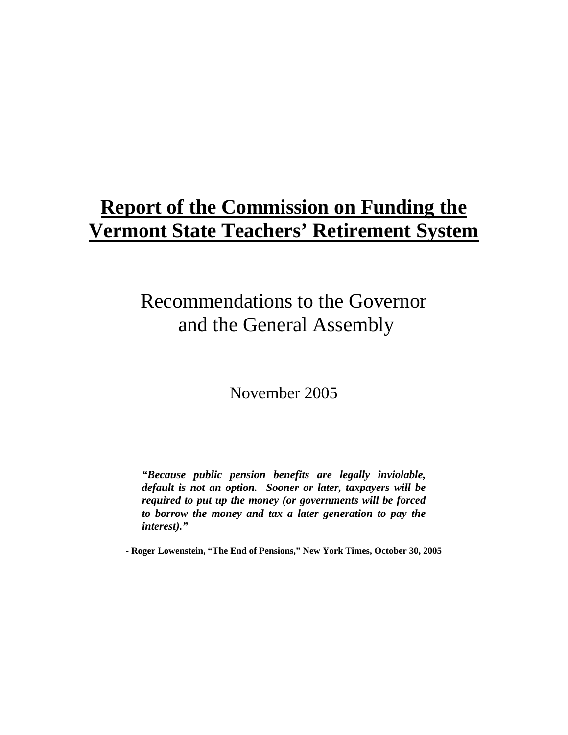# **Report of the Commission on Funding the Vermont State Teachers' Retirement System**

# Recommendations to the Governor and the General Assembly

November 2005

*"Because public pension benefits are legally inviolable, default is not an option. Sooner or later, taxpayers will be required to put up the money (or governments will be forced to borrow the money and tax a later generation to pay the interest)."* 

**- Roger Lowenstein, "The End of Pensions," New York Times, October 30, 2005**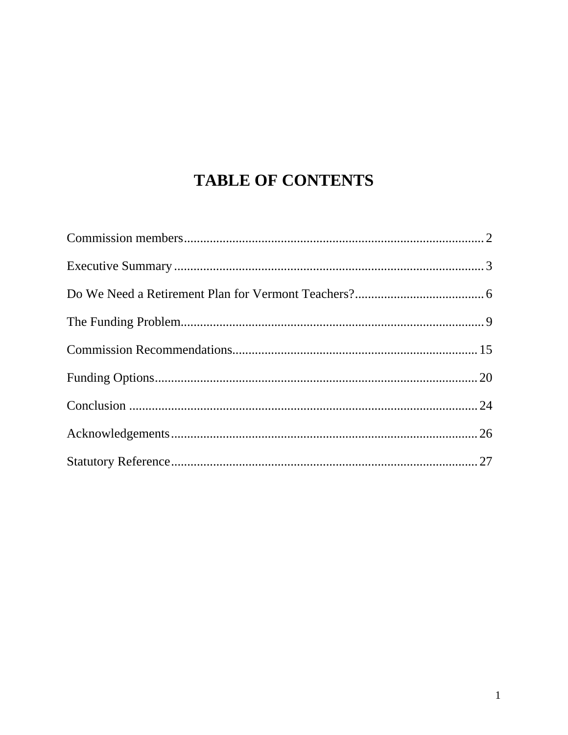## **TABLE OF CONTENTS**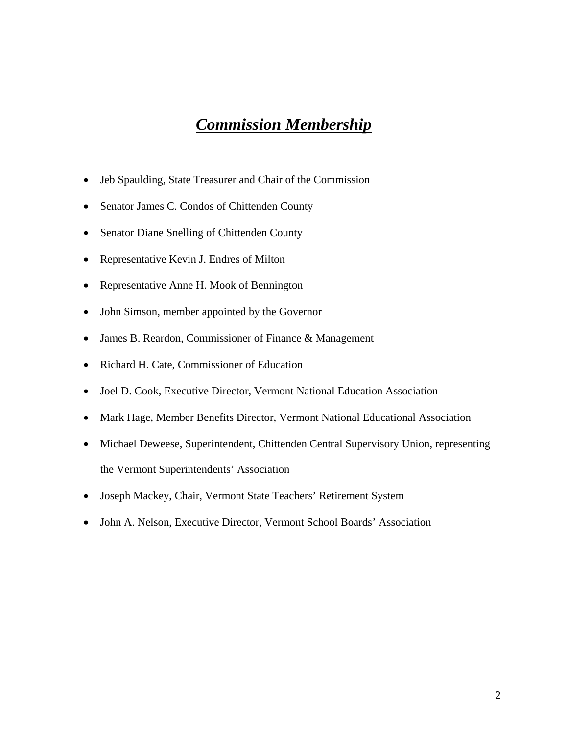### *Commission Membership*

- Jeb Spaulding, State Treasurer and Chair of the Commission
- Senator James C. Condos of Chittenden County
- Senator Diane Snelling of Chittenden County
- Representative Kevin J. Endres of Milton
- Representative Anne H. Mook of Bennington
- John Simson, member appointed by the Governor
- James B. Reardon, Commissioner of Finance & Management
- Richard H. Cate, Commissioner of Education
- Joel D. Cook, Executive Director, Vermont National Education Association
- Mark Hage, Member Benefits Director, Vermont National Educational Association
- Michael Deweese, Superintendent, Chittenden Central Supervisory Union, representing the Vermont Superintendents' Association
- Joseph Mackey, Chair, Vermont State Teachers' Retirement System
- John A. Nelson, Executive Director, Vermont School Boards' Association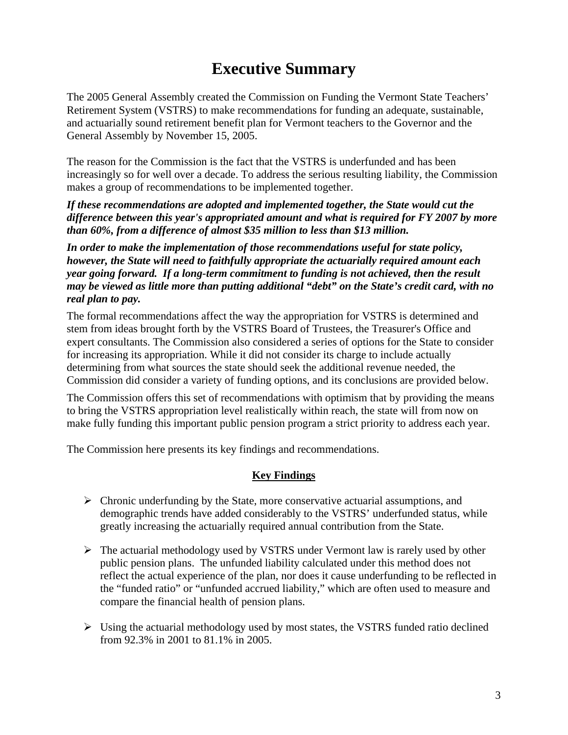### **Executive Summary**

The 2005 General Assembly created the Commission on Funding the Vermont State Teachers' Retirement System (VSTRS) to make recommendations for funding an adequate, sustainable, and actuarially sound retirement benefit plan for Vermont teachers to the Governor and the General Assembly by November 15, 2005.

The reason for the Commission is the fact that the VSTRS is underfunded and has been increasingly so for well over a decade. To address the serious resulting liability, the Commission makes a group of recommendations to be implemented together.

*If these recommendations are adopted and implemented together, the State would cut the difference between this year's appropriated amount and what is required for FY 2007 by more than 60%, from a difference of almost \$35 million to less than \$13 million.* 

*In order to make the implementation of those recommendations useful for state policy, however, the State will need to faithfully appropriate the actuarially required amount each year going forward. If a long-term commitment to funding is not achieved, then the result may be viewed as little more than putting additional "debt" on the State's credit card, with no real plan to pay.* 

The formal recommendations affect the way the appropriation for VSTRS is determined and stem from ideas brought forth by the VSTRS Board of Trustees, the Treasurer's Office and expert consultants. The Commission also considered a series of options for the State to consider for increasing its appropriation. While it did not consider its charge to include actually determining from what sources the state should seek the additional revenue needed, the Commission did consider a variety of funding options, and its conclusions are provided below.

The Commission offers this set of recommendations with optimism that by providing the means to bring the VSTRS appropriation level realistically within reach, the state will from now on make fully funding this important public pension program a strict priority to address each year.

The Commission here presents its key findings and recommendations.

#### **Key Findings**

- $\triangleright$  Chronic underfunding by the State, more conservative actuarial assumptions, and demographic trends have added considerably to the VSTRS' underfunded status, while greatly increasing the actuarially required annual contribution from the State.
- $\triangleright$  The actuarial methodology used by VSTRS under Vermont law is rarely used by other public pension plans. The unfunded liability calculated under this method does not reflect the actual experience of the plan, nor does it cause underfunding to be reflected in the "funded ratio" or "unfunded accrued liability," which are often used to measure and compare the financial health of pension plans.
- $\triangleright$  Using the actuarial methodology used by most states, the VSTRS funded ratio declined from 92.3% in 2001 to 81.1% in 2005.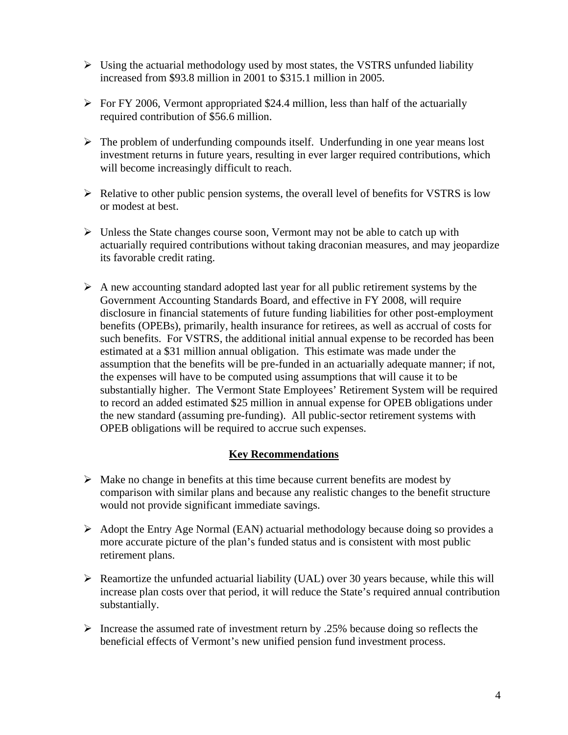- $\triangleright$  Using the actuarial methodology used by most states, the VSTRS unfunded liability increased from \$93.8 million in 2001 to \$315.1 million in 2005.
- $\triangleright$  For FY 2006, Vermont appropriated \$24.4 million, less than half of the actuarially required contribution of \$56.6 million.
- $\triangleright$  The problem of underfunding compounds itself. Underfunding in one year means lost investment returns in future years, resulting in ever larger required contributions, which will become increasingly difficult to reach.
- $\triangleright$  Relative to other public pension systems, the overall level of benefits for VSTRS is low or modest at best.
- $\triangleright$  Unless the State changes course soon, Vermont may not be able to catch up with actuarially required contributions without taking draconian measures, and may jeopardize its favorable credit rating.
- $\triangleright$  A new accounting standard adopted last year for all public retirement systems by the Government Accounting Standards Board, and effective in FY 2008, will require disclosure in financial statements of future funding liabilities for other post-employment benefits (OPEBs), primarily, health insurance for retirees, as well as accrual of costs for such benefits. For VSTRS, the additional initial annual expense to be recorded has been estimated at a \$31 million annual obligation. This estimate was made under the assumption that the benefits will be pre-funded in an actuarially adequate manner; if not, the expenses will have to be computed using assumptions that will cause it to be substantially higher. The Vermont State Employees' Retirement System will be required to record an added estimated \$25 million in annual expense for OPEB obligations under the new standard (assuming pre-funding). All public-sector retirement systems with OPEB obligations will be required to accrue such expenses.

### **Key Recommendations**

- $\triangleright$  Make no change in benefits at this time because current benefits are modest by comparison with similar plans and because any realistic changes to the benefit structure would not provide significant immediate savings.
- $\triangleright$  Adopt the Entry Age Normal (EAN) actuarial methodology because doing so provides a more accurate picture of the plan's funded status and is consistent with most public retirement plans.
- $\triangleright$  Reamortize the unfunded actuarial liability (UAL) over 30 years because, while this will increase plan costs over that period, it will reduce the State's required annual contribution substantially.
- $\triangleright$  Increase the assumed rate of investment return by .25% because doing so reflects the beneficial effects of Vermont's new unified pension fund investment process.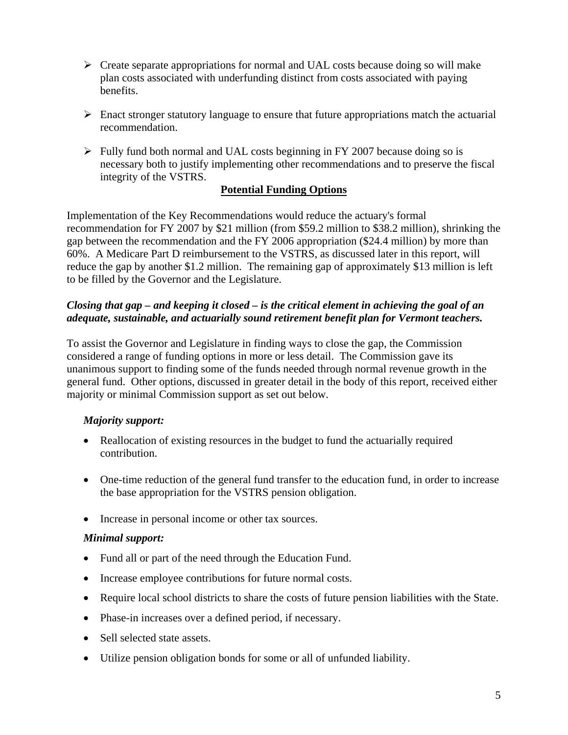- $\triangleright$  Create separate appropriations for normal and UAL costs because doing so will make plan costs associated with underfunding distinct from costs associated with paying benefits.
- $\triangleright$  Enact stronger statutory language to ensure that future appropriations match the actuarial recommendation.
- $\triangleright$  Fully fund both normal and UAL costs beginning in FY 2007 because doing so is necessary both to justify implementing other recommendations and to preserve the fiscal integrity of the VSTRS.

#### **Potential Funding Options**

Implementation of the Key Recommendations would reduce the actuary's formal recommendation for FY 2007 by \$21 million (from \$59.2 million to \$38.2 million), shrinking the gap between the recommendation and the FY 2006 appropriation (\$24.4 million) by more than 60%. A Medicare Part D reimbursement to the VSTRS, as discussed later in this report, will reduce the gap by another \$1.2 million. The remaining gap of approximately \$13 million is left to be filled by the Governor and the Legislature.

#### *Closing that gap – and keeping it closed – is the critical element in achieving the goal of an adequate, sustainable, and actuarially sound retirement benefit plan for Vermont teachers.*

To assist the Governor and Legislature in finding ways to close the gap, the Commission considered a range of funding options in more or less detail. The Commission gave its unanimous support to finding some of the funds needed through normal revenue growth in the general fund. Other options, discussed in greater detail in the body of this report, received either majority or minimal Commission support as set out below.

### *Majority support:*

- Reallocation of existing resources in the budget to fund the actuarially required contribution.
- One-time reduction of the general fund transfer to the education fund, in order to increase the base appropriation for the VSTRS pension obligation.
- Increase in personal income or other tax sources.

#### *Minimal support:*

- Fund all or part of the need through the Education Fund.
- Increase employee contributions for future normal costs.
- Require local school districts to share the costs of future pension liabilities with the State.
- Phase-in increases over a defined period, if necessary.
- Sell selected state assets.
- Utilize pension obligation bonds for some or all of unfunded liability.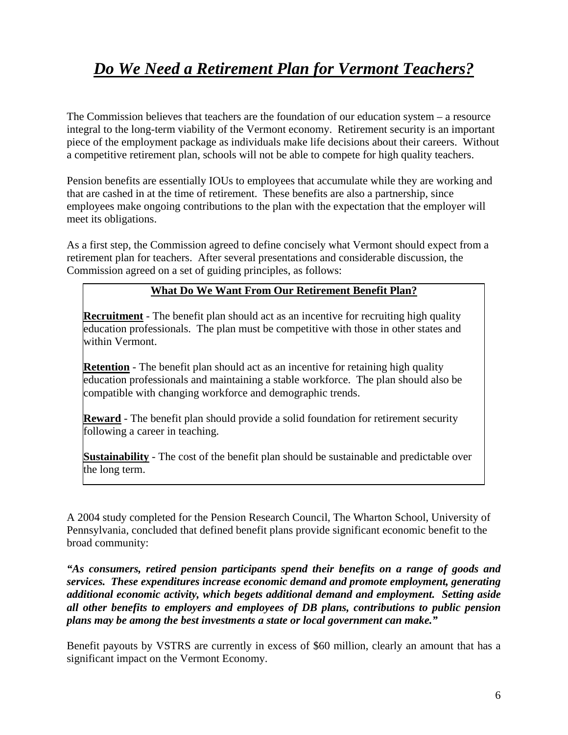## *Do We Need a Retirement Plan for Vermont Teachers?*

The Commission believes that teachers are the foundation of our education system – a resource integral to the long-term viability of the Vermont economy. Retirement security is an important piece of the employment package as individuals make life decisions about their careers. Without a competitive retirement plan, schools will not be able to compete for high quality teachers.

Pension benefits are essentially IOUs to employees that accumulate while they are working and that are cashed in at the time of retirement. These benefits are also a partnership, since employees make ongoing contributions to the plan with the expectation that the employer will meet its obligations.

As a first step, the Commission agreed to define concisely what Vermont should expect from a retirement plan for teachers. After several presentations and considerable discussion, the Commission agreed on a set of guiding principles, as follows:

#### **What Do We Want From Our Retirement Benefit Plan?**

**Recruitment** - The benefit plan should act as an incentive for recruiting high quality education professionals. The plan must be competitive with those in other states and within Vermont.

**Retention** - The benefit plan should act as an incentive for retaining high quality education professionals and maintaining a stable workforce. The plan should also be compatible with changing workforce and demographic trends.

**Reward** - The benefit plan should provide a solid foundation for retirement security following a career in teaching.

**Sustainability** - The cost of the benefit plan should be sustainable and predictable over the long term.

A 2004 study completed for the Pension Research Council, The Wharton School, University of Pennsylvania, concluded that defined benefit plans provide significant economic benefit to the broad community:

*"As consumers, retired pension participants spend their benefits on a range of goods and services. These expenditures increase economic demand and promote employment, generating additional economic activity, which begets additional demand and employment. Setting aside all other benefits to employers and employees of DB plans, contributions to public pension plans may be among the best investments a state or local government can make."* 

Benefit payouts by VSTRS are currently in excess of \$60 million, clearly an amount that has a significant impact on the Vermont Economy.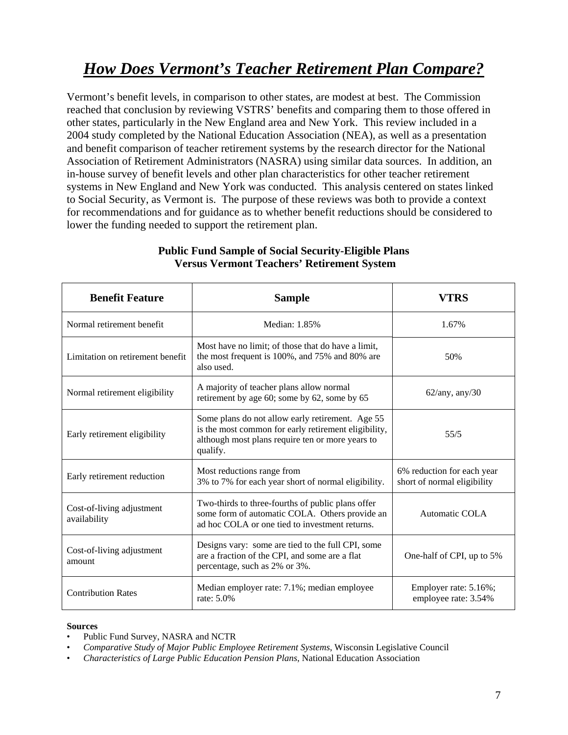## *How Does Vermont's Teacher Retirement Plan Compare?*

Vermont's benefit levels, in comparison to other states, are modest at best. The Commission reached that conclusion by reviewing VSTRS' benefits and comparing them to those offered in other states, particularly in the New England area and New York. This review included in a 2004 study completed by the National Education Association (NEA), as well as a presentation and benefit comparison of teacher retirement systems by the research director for the National Association of Retirement Administrators (NASRA) using similar data sources. In addition, an in-house survey of benefit levels and other plan characteristics for other teacher retirement systems in New England and New York was conducted. This analysis centered on states linked to Social Security, as Vermont is. The purpose of these reviews was both to provide a context for recommendations and for guidance as to whether benefit reductions should be considered to lower the funding needed to support the retirement plan.

| <b>Benefit Feature</b>                    | <b>Sample</b>                                                                                                                                                            | VTRS                                                      |
|-------------------------------------------|--------------------------------------------------------------------------------------------------------------------------------------------------------------------------|-----------------------------------------------------------|
| Normal retirement benefit                 | Median: 1.85%                                                                                                                                                            | 1.67%                                                     |
| Limitation on retirement benefit          | Most have no limit; of those that do have a limit,<br>the most frequent is 100%, and 75% and 80% are<br>also used.                                                       | 50%                                                       |
| Normal retirement eligibility             | A majority of teacher plans allow normal<br>retirement by age 60; some by 62, some by 65                                                                                 | $62$ /any, any/30                                         |
| Early retirement eligibility              | Some plans do not allow early retirement. Age 55<br>is the most common for early retirement eligibility,<br>although most plans require ten or more years to<br>qualify. | 55/5                                                      |
| Early retirement reduction                | Most reductions range from<br>3% to 7% for each year short of normal eligibility.                                                                                        | 6% reduction for each year<br>short of normal eligibility |
| Cost-of-living adjustment<br>availability | Two-thirds to three-fourths of public plans offer<br>some form of automatic COLA. Others provide an<br>ad hoc COLA or one tied to investment returns.                    | Automatic COLA                                            |
| Cost-of-living adjustment<br>amount       | Designs vary: some are tied to the full CPI, some<br>are a fraction of the CPI, and some are a flat<br>percentage, such as 2% or 3%.                                     | One-half of CPI, up to 5%                                 |
| <b>Contribution Rates</b>                 | Median employer rate: 7.1%; median employee<br>rate: 5.0%                                                                                                                | Employer rate: 5.16%;<br>employee rate: 3.54%             |

#### **Public Fund Sample of Social Security-Eligible Plans Versus Vermont Teachers' Retirement System**

#### **Sources**

- Public Fund Survey, NASRA and NCTR
- *Comparative Study of Major Public Employee Retirement Systems*, Wisconsin Legislative Council
- *Characteristics of Large Public Education Pension Plans*, National Education Association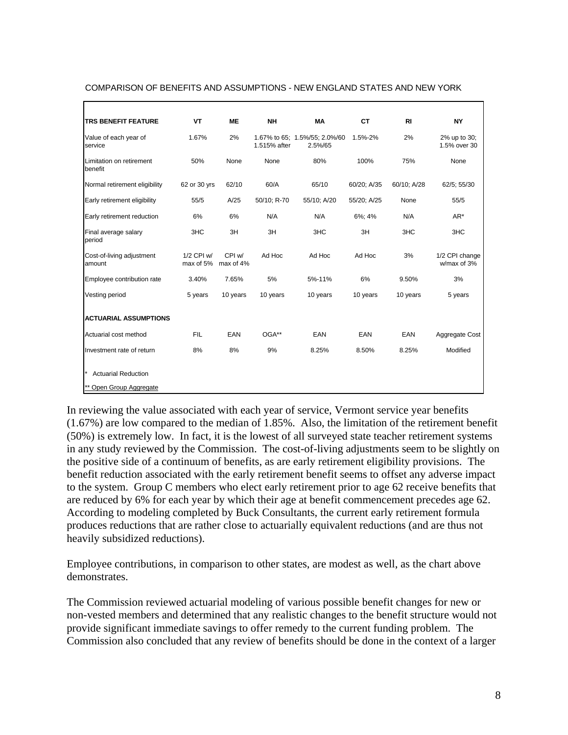| <b>TRS BENEFIT FEATURE</b>          | VT                      | <b>ME</b>           | <b>NH</b>    | MA                                       | <b>CT</b>   | <b>RI</b>   | <b>NY</b>                     |
|-------------------------------------|-------------------------|---------------------|--------------|------------------------------------------|-------------|-------------|-------------------------------|
| Value of each year of<br>service    | 1.67%                   | 2%                  | 1.515% after | 1.67% to 65; 1.5%/55; 2.0%/60<br>2.5%/65 | 1.5%-2%     | 2%          | 2% up to 30;<br>1.5% over 30  |
| Limitation on retirement<br>benefit | 50%                     | None                | None         | 80%                                      | 100%        | 75%         | None                          |
| Normal retirement eligibility       | 62 or 30 yrs            | 62/10               | 60/A         | 65/10                                    | 60/20; A/35 | 60/10; A/28 | 62/5; 55/30                   |
| Early retirement eligibility        | 55/5                    | A/25                | 50/10; R-70  | 55/10; A/20                              | 55/20; A/25 | None        | 55/5                          |
| Early retirement reduction          | 6%                      | 6%                  | N/A          | N/A                                      | 6%; 4%      | N/A         | $AR^*$                        |
| Final average salary<br>period      | 3HC                     | 3H                  | 3H           | 3HC                                      | 3H          | 3HC         | 3HC                           |
| Cost-of-living adjustment<br>amount | 1/2 CPI w/<br>max of 5% | CPI w/<br>max of 4% | Ad Hoc       | Ad Hoc                                   | Ad Hoc      | 3%          | 1/2 CPI change<br>w/max of 3% |
| Employee contribution rate          | 3.40%                   | 7.65%               | 5%           | 5%-11%                                   | 6%          | 9.50%       | 3%                            |
| Vesting period                      | 5 years                 | 10 years            | 10 years     | 10 years                                 | 10 years    | 10 years    | 5 years                       |
| <b>ACTUARIAL ASSUMPTIONS</b>        |                         |                     |              |                                          |             |             |                               |
| Actuarial cost method               | <b>FIL</b>              | EAN                 | OGA**        | EAN                                      | EAN         | EAN         | Aggregate Cost                |
| Investment rate of return           | 8%                      | 8%                  | 9%           | 8.25%                                    | 8.50%       | 8.25%       | Modified                      |
| <b>Actuarial Reduction</b>          |                         |                     |              |                                          |             |             |                               |
| ** Open Group Aggregate             |                         |                     |              |                                          |             |             |                               |

#### COMPARISON OF BENEFITS AND ASSUMPTIONS - NEW ENGLAND STATES AND NEW YORK

In reviewing the value associated with each year of service, Vermont service year benefits (1.67%) are low compared to the median of 1.85%. Also, the limitation of the retirement benefit (50%) is extremely low. In fact, it is the lowest of all surveyed state teacher retirement systems in any study reviewed by the Commission. The cost-of-living adjustments seem to be slightly on the positive side of a continuum of benefits, as are early retirement eligibility provisions. The benefit reduction associated with the early retirement benefit seems to offset any adverse impact to the system. Group C members who elect early retirement prior to age 62 receive benefits that are reduced by 6% for each year by which their age at benefit commencement precedes age 62. According to modeling completed by Buck Consultants, the current early retirement formula produces reductions that are rather close to actuarially equivalent reductions (and are thus not heavily subsidized reductions).

Employee contributions, in comparison to other states, are modest as well, as the chart above demonstrates.

The Commission reviewed actuarial modeling of various possible benefit changes for new or non-vested members and determined that any realistic changes to the benefit structure would not provide significant immediate savings to offer remedy to the current funding problem. The Commission also concluded that any review of benefits should be done in the context of a larger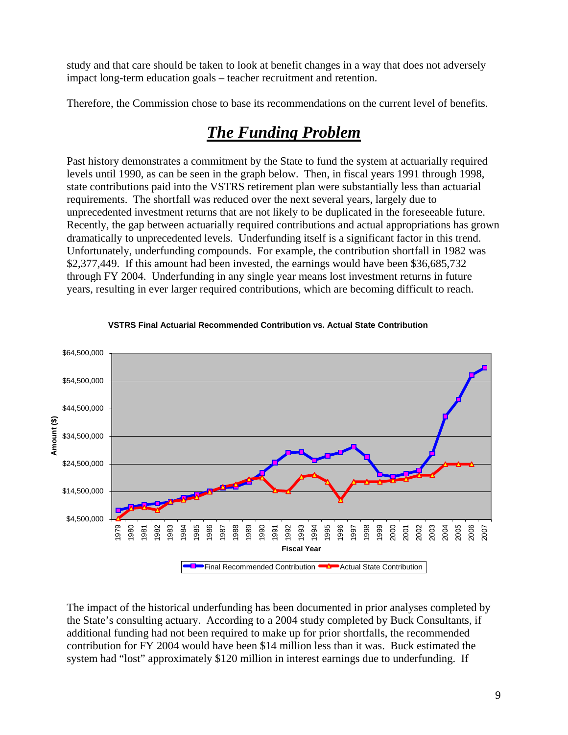study and that care should be taken to look at benefit changes in a way that does not adversely impact long-term education goals – teacher recruitment and retention.

Therefore, the Commission chose to base its recommendations on the current level of benefits.

## *The Funding Problem*

Past history demonstrates a commitment by the State to fund the system at actuarially required levels until 1990, as can be seen in the graph below. Then, in fiscal years 1991 through 1998, state contributions paid into the VSTRS retirement plan were substantially less than actuarial requirements. The shortfall was reduced over the next several years, largely due to unprecedented investment returns that are not likely to be duplicated in the foreseeable future. Recently, the gap between actuarially required contributions and actual appropriations has grown dramatically to unprecedented levels. Underfunding itself is a significant factor in this trend. Unfortunately, underfunding compounds. For example, the contribution shortfall in 1982 was \$2,377,449. If this amount had been invested, the earnings would have been \$36,685,732 through FY 2004. Underfunding in any single year means lost investment returns in future years, resulting in ever larger required contributions, which are becoming difficult to reach.



#### **VSTRS Final Actuarial Recommended Contribution vs. Actual State Contribution**

The impact of the historical underfunding has been documented in prior analyses completed by the State's consulting actuary. According to a 2004 study completed by Buck Consultants, if additional funding had not been required to make up for prior shortfalls, the recommended contribution for FY 2004 would have been \$14 million less than it was. Buck estimated the system had "lost" approximately \$120 million in interest earnings due to underfunding. If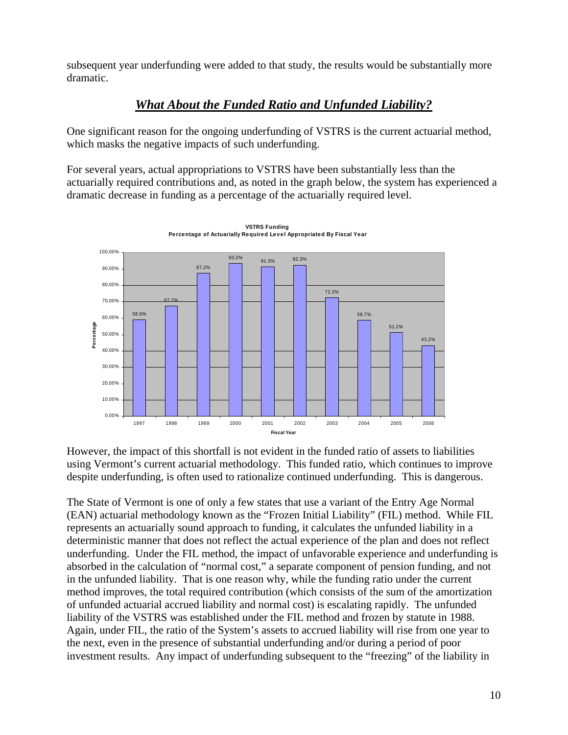subsequent year underfunding were added to that study, the results would be substantially more dramatic.

### *What About the Funded Ratio and Unfunded Liability?*

One significant reason for the ongoing underfunding of VSTRS is the current actuarial method, which masks the negative impacts of such underfunding.

For several years, actual appropriations to VSTRS have been substantially less than the actuarially required contributions and, as noted in the graph below, the system has experienced a dramatic decrease in funding as a percentage of the actuarially required level.



**VSTRS Funding Percentage of Actuarially Required Level Appropriated By Fiscal Year**

However, the impact of this shortfall is not evident in the funded ratio of assets to liabilities using Vermont's current actuarial methodology. This funded ratio, which continues to improve despite underfunding, is often used to rationalize continued underfunding. This is dangerous.

The State of Vermont is one of only a few states that use a variant of the Entry Age Normal (EAN) actuarial methodology known as the "Frozen Initial Liability" (FIL) method. While FIL represents an actuarially sound approach to funding, it calculates the unfunded liability in a deterministic manner that does not reflect the actual experience of the plan and does not reflect underfunding. Under the FIL method, the impact of unfavorable experience and underfunding is absorbed in the calculation of "normal cost," a separate component of pension funding, and not in the unfunded liability. That is one reason why, while the funding ratio under the current method improves, the total required contribution (which consists of the sum of the amortization of unfunded actuarial accrued liability and normal cost) is escalating rapidly. The unfunded liability of the VSTRS was established under the FIL method and frozen by statute in 1988. Again, under FIL, the ratio of the System's assets to accrued liability will rise from one year to the next, even in the presence of substantial underfunding and/or during a period of poor investment results. Any impact of underfunding subsequent to the "freezing" of the liability in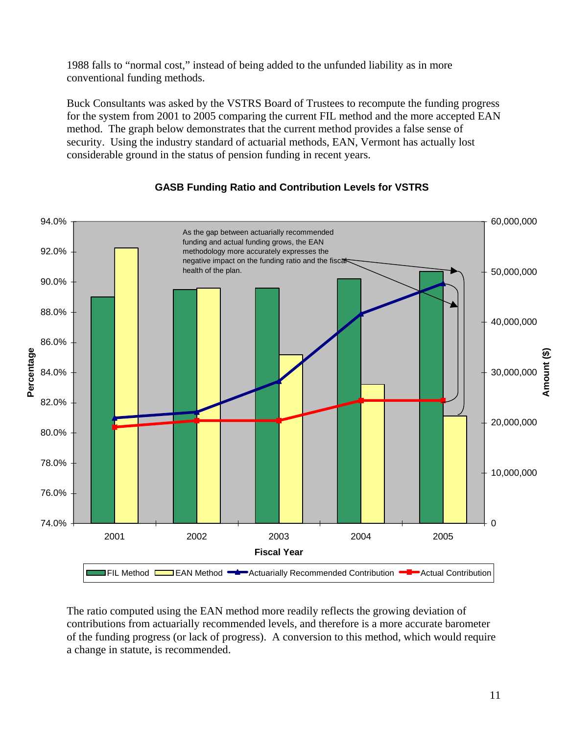1988 falls to "normal cost," instead of being added to the unfunded liability as in more conventional funding methods.

Buck Consultants was asked by the VSTRS Board of Trustees to recompute the funding progress for the system from 2001 to 2005 comparing the current FIL method and the more accepted EAN method. The graph below demonstrates that the current method provides a false sense of security. Using the industry standard of actuarial methods, EAN, Vermont has actually lost considerable ground in the status of pension funding in recent years.



#### **GASB Funding Ratio and Contribution Levels for VSTRS**

The ratio computed using the EAN method more readily reflects the growing deviation of contributions from actuarially recommended levels, and therefore is a more accurate barometer of the funding progress (or lack of progress). A conversion to this method, which would require a change in statute, is recommended.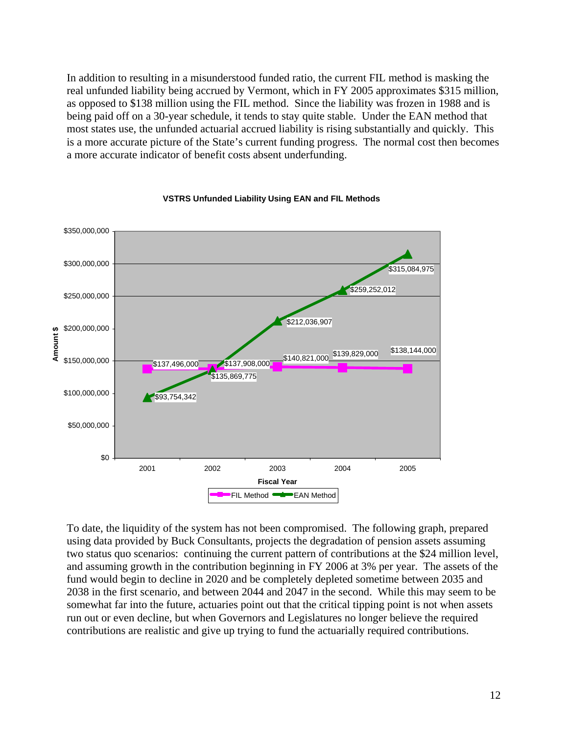In addition to resulting in a misunderstood funded ratio, the current FIL method is masking the real unfunded liability being accrued by Vermont, which in FY 2005 approximates \$315 million, as opposed to \$138 million using the FIL method. Since the liability was frozen in 1988 and is being paid off on a 30-year schedule, it tends to stay quite stable. Under the EAN method that most states use, the unfunded actuarial accrued liability is rising substantially and quickly. This is a more accurate picture of the State's current funding progress. The normal cost then becomes a more accurate indicator of benefit costs absent underfunding.



#### **VSTRS Unfunded Liability Using EAN and FIL Methods**

To date, the liquidity of the system has not been compromised. The following graph, prepared using data provided by Buck Consultants, projects the degradation of pension assets assuming two status quo scenarios: continuing the current pattern of contributions at the \$24 million level, and assuming growth in the contribution beginning in FY 2006 at 3% per year. The assets of the fund would begin to decline in 2020 and be completely depleted sometime between 2035 and 2038 in the first scenario, and between 2044 and 2047 in the second. While this may seem to be somewhat far into the future, actuaries point out that the critical tipping point is not when assets run out or even decline, but when Governors and Legislatures no longer believe the required contributions are realistic and give up trying to fund the actuarially required contributions.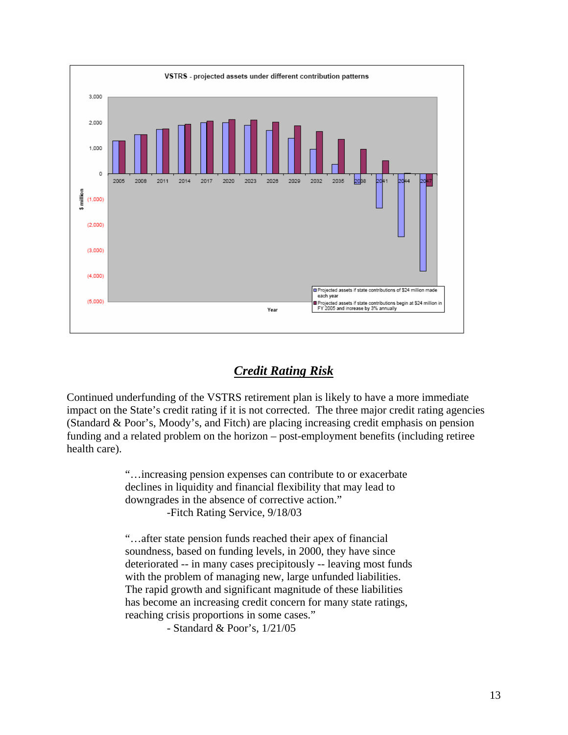

### *Credit Rating Risk*

Continued underfunding of the VSTRS retirement plan is likely to have a more immediate impact on the State's credit rating if it is not corrected. The three major credit rating agencies (Standard & Poor's, Moody's, and Fitch) are placing increasing credit emphasis on pension funding and a related problem on the horizon – post-employment benefits (including retiree health care).

> "…increasing pension expenses can contribute to or exacerbate declines in liquidity and financial flexibility that may lead to downgrades in the absence of corrective action." -Fitch Rating Service, 9/18/03

"…after state pension funds reached their apex of financial soundness, based on funding levels, in 2000, they have since deteriorated -- in many cases precipitously -- leaving most funds with the problem of managing new, large unfunded liabilities. The rapid growth and significant magnitude of these liabilities has become an increasing credit concern for many state ratings, reaching crisis proportions in some cases."

- Standard & Poor's, 1/21/05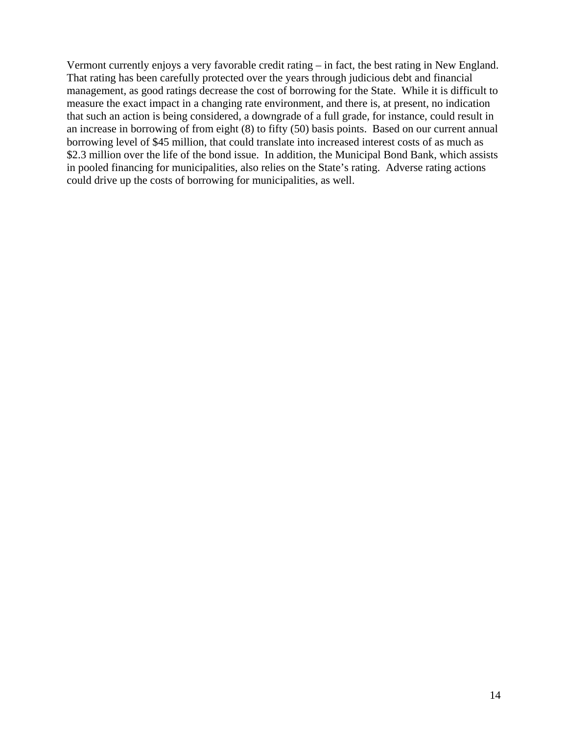Vermont currently enjoys a very favorable credit rating – in fact, the best rating in New England. That rating has been carefully protected over the years through judicious debt and financial management, as good ratings decrease the cost of borrowing for the State. While it is difficult to measure the exact impact in a changing rate environment, and there is, at present, no indication that such an action is being considered, a downgrade of a full grade, for instance, could result in an increase in borrowing of from eight (8) to fifty (50) basis points. Based on our current annual borrowing level of \$45 million, that could translate into increased interest costs of as much as \$2.3 million over the life of the bond issue. In addition, the Municipal Bond Bank, which assists in pooled financing for municipalities, also relies on the State's rating. Adverse rating actions could drive up the costs of borrowing for municipalities, as well.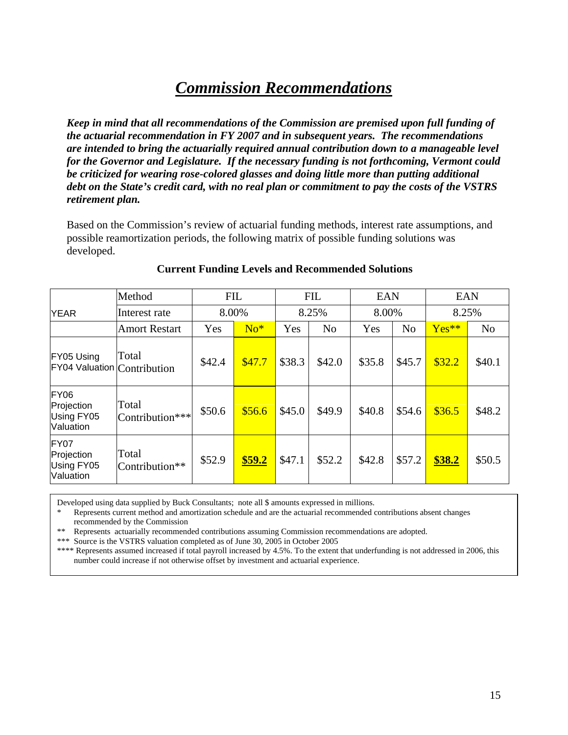## *Commission Recommendations*

*Keep in mind that all recommendations of the Commission are premised upon full funding of the actuarial recommendation in FY 2007 and in subsequent years. The recommendations are intended to bring the actuarially required annual contribution down to a manageable level for the Governor and Legislature. If the necessary funding is not forthcoming, Vermont could be criticized for wearing rose-colored glasses and doing little more than putting additional debt on the State's credit card, with no real plan or commitment to pay the costs of the VSTRS retirement plan.* 

Based on the Commission's review of actuarial funding methods, interest rate assumptions, and possible reamortization periods, the following matrix of possible funding solutions was developed.

|                                               | Method                   | <b>FIL</b> |        | <b>FIL</b> |                | <b>EAN</b> |                | <b>EAN</b>    |                |
|-----------------------------------------------|--------------------------|------------|--------|------------|----------------|------------|----------------|---------------|----------------|
| <b>YEAR</b>                                   | Interest rate            | 8.00%      |        | 8.25%      |                | 8.00%      |                | 8.25%         |                |
|                                               | <b>Amort Restart</b>     | Yes        | $No*$  | Yes        | N <sub>o</sub> | Yes        | N <sub>o</sub> | $Yes**$       | N <sub>o</sub> |
| FY05 Using<br>FY04 Valuation Contribution     | Total                    | \$42.4     | \$47.7 | \$38.3     | \$42.0         | \$35.8     | \$45.7         | \$32.2        | \$40.1         |
| FY06<br>Projection<br>Using FY05<br>Valuation | Total<br>Contribution*** | \$50.6     | \$56.6 | \$45.0     | \$49.9         | \$40.8     | \$54.6         | \$36.5        | \$48.2         |
| FY07<br>Projection<br>Using FY05<br>Valuation | Total<br>Contribution**  | \$52.9     | \$59.2 | \$47.1     | \$52.2         | \$42.8     | \$57.2         | <b>\$38.2</b> | \$50.5         |

#### **Current Funding Levels and Recommended Solutions**

Developed using data supplied by Buck Consultants; note all \$ amounts expressed in millions.

\* Represents current method and amortization schedule and are the actuarial recommended contributions absent changes recommended by the Commission

\*\* Represents actuarially recommended contributions assuming Commission recommendations are adopted.

\*\*\* Source is the VSTRS valuation completed as of June 30, 2005 in October 2005

\*\*\*\* Represents assumed increased if total payroll increased by 4.5%. To the extent that underfunding is not addressed in 2006, this number could increase if not otherwise offset by investment and actuarial experience.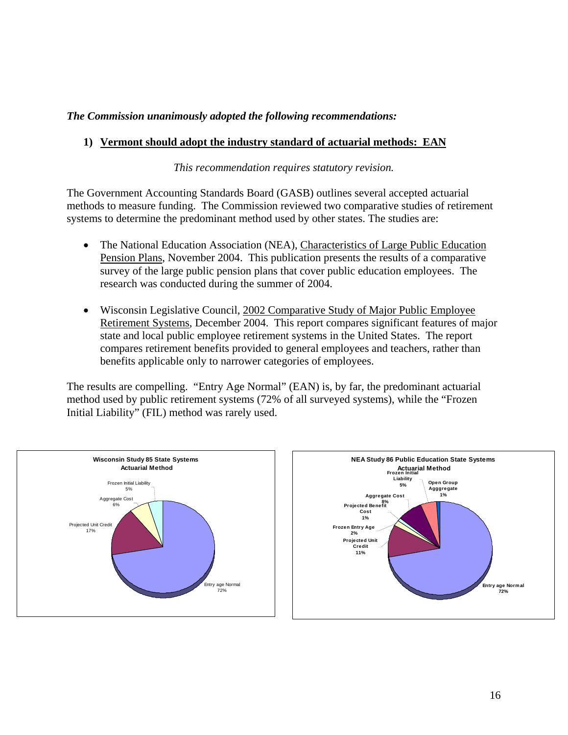#### *The Commission unanimously adopted the following recommendations:*

#### **1) Vermont should adopt the industry standard of actuarial methods: EAN**

*This recommendation requires statutory revision.* 

The Government Accounting Standards Board (GASB) outlines several accepted actuarial methods to measure funding. The Commission reviewed two comparative studies of retirement systems to determine the predominant method used by other states. The studies are:

- The National Education Association (NEA), Characteristics of Large Public Education Pension Plans, November 2004. This publication presents the results of a comparative survey of the large public pension plans that cover public education employees. The research was conducted during the summer of 2004.
- Wisconsin Legislative Council, 2002 Comparative Study of Major Public Employee Retirement Systems, December 2004. This report compares significant features of major state and local public employee retirement systems in the United States. The report compares retirement benefits provided to general employees and teachers, rather than benefits applicable only to narrower categories of employees.

The results are compelling. "Entry Age Normal" (EAN) is, by far, the predominant actuarial method used by public retirement systems (72% of all surveyed systems), while the "Frozen Initial Liability" (FIL) method was rarely used.



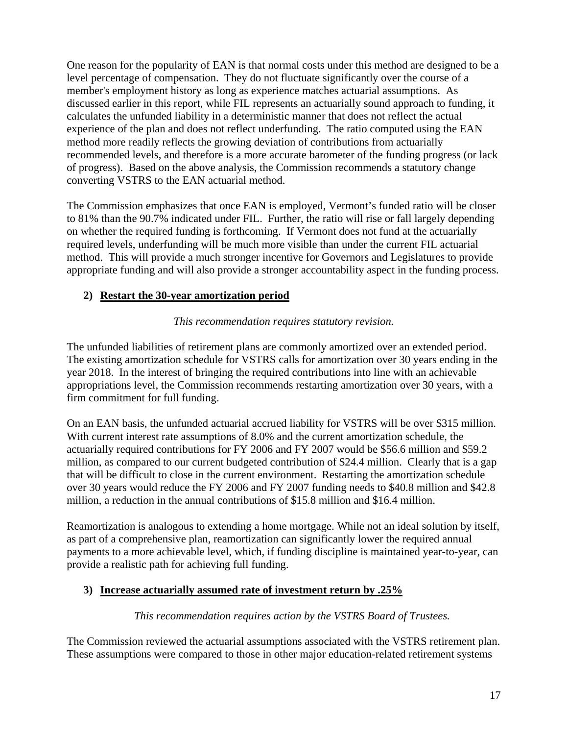One reason for the popularity of EAN is that normal costs under this method are designed to be a level percentage of compensation. They do not fluctuate significantly over the course of a member's employment history as long as experience matches actuarial assumptions. As discussed earlier in this report, while FIL represents an actuarially sound approach to funding, it calculates the unfunded liability in a deterministic manner that does not reflect the actual experience of the plan and does not reflect underfunding. The ratio computed using the EAN method more readily reflects the growing deviation of contributions from actuarially recommended levels, and therefore is a more accurate barometer of the funding progress (or lack of progress). Based on the above analysis, the Commission recommends a statutory change converting VSTRS to the EAN actuarial method.

The Commission emphasizes that once EAN is employed, Vermont's funded ratio will be closer to 81% than the 90.7% indicated under FIL. Further, the ratio will rise or fall largely depending on whether the required funding is forthcoming. If Vermont does not fund at the actuarially required levels, underfunding will be much more visible than under the current FIL actuarial method. This will provide a much stronger incentive for Governors and Legislatures to provide appropriate funding and will also provide a stronger accountability aspect in the funding process.

#### **2) Restart the 30-year amortization period**

#### *This recommendation requires statutory revision.*

The unfunded liabilities of retirement plans are commonly amortized over an extended period. The existing amortization schedule for VSTRS calls for amortization over 30 years ending in the year 2018. In the interest of bringing the required contributions into line with an achievable appropriations level, the Commission recommends restarting amortization over 30 years, with a firm commitment for full funding.

On an EAN basis, the unfunded actuarial accrued liability for VSTRS will be over \$315 million. With current interest rate assumptions of 8.0% and the current amortization schedule, the actuarially required contributions for FY 2006 and FY 2007 would be \$56.6 million and \$59.2 million, as compared to our current budgeted contribution of \$24.4 million. Clearly that is a gap that will be difficult to close in the current environment. Restarting the amortization schedule over 30 years would reduce the FY 2006 and FY 2007 funding needs to \$40.8 million and \$42.8 million, a reduction in the annual contributions of \$15.8 million and \$16.4 million.

Reamortization is analogous to extending a home mortgage. While not an ideal solution by itself, as part of a comprehensive plan, reamortization can significantly lower the required annual payments to a more achievable level, which, if funding discipline is maintained year-to-year, can provide a realistic path for achieving full funding.

#### **3) Increase actuarially assumed rate of investment return by .25%**

#### *This recommendation requires action by the VSTRS Board of Trustees.*

The Commission reviewed the actuarial assumptions associated with the VSTRS retirement plan. These assumptions were compared to those in other major education-related retirement systems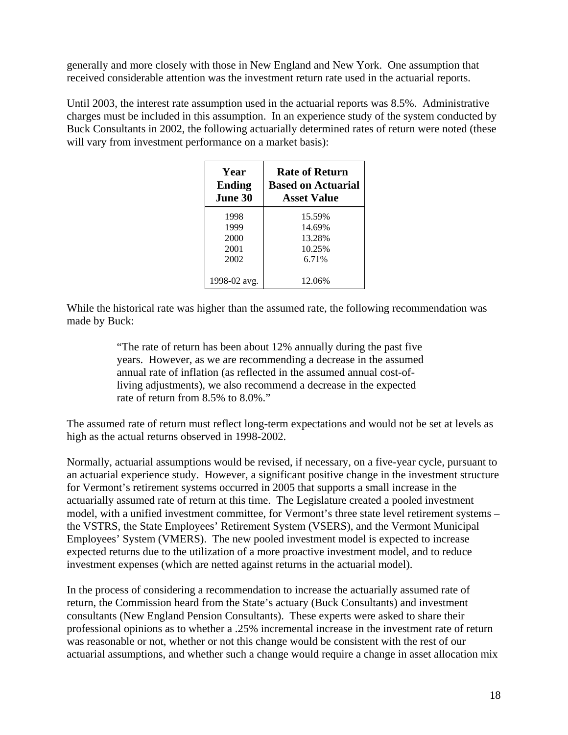generally and more closely with those in New England and New York. One assumption that received considerable attention was the investment return rate used in the actuarial reports.

Until 2003, the interest rate assumption used in the actuarial reports was 8.5%. Administrative charges must be included in this assumption. In an experience study of the system conducted by Buck Consultants in 2002, the following actuarially determined rates of return were noted (these will vary from investment performance on a market basis):

| Year           | <b>Rate of Return</b>     |
|----------------|---------------------------|
| <b>Ending</b>  | <b>Based on Actuarial</b> |
| <b>June 30</b> | <b>Asset Value</b>        |
| 1998           | 15.59%                    |
| 1999           | 14.69%                    |
| 2000           | 13.28%                    |
| 2001           | 10.25%                    |
| 2002           | 6.71%                     |
| 1998-02 avg.   | 12.06%                    |

While the historical rate was higher than the assumed rate, the following recommendation was made by Buck:

> "The rate of return has been about 12% annually during the past five years. However, as we are recommending a decrease in the assumed annual rate of inflation (as reflected in the assumed annual cost-ofliving adjustments), we also recommend a decrease in the expected rate of return from 8.5% to 8.0%."

The assumed rate of return must reflect long-term expectations and would not be set at levels as high as the actual returns observed in 1998-2002.

Normally, actuarial assumptions would be revised, if necessary, on a five-year cycle, pursuant to an actuarial experience study. However, a significant positive change in the investment structure for Vermont's retirement systems occurred in 2005 that supports a small increase in the actuarially assumed rate of return at this time. The Legislature created a pooled investment model, with a unified investment committee, for Vermont's three state level retirement systems – the VSTRS, the State Employees' Retirement System (VSERS), and the Vermont Municipal Employees' System (VMERS). The new pooled investment model is expected to increase expected returns due to the utilization of a more proactive investment model, and to reduce investment expenses (which are netted against returns in the actuarial model).

In the process of considering a recommendation to increase the actuarially assumed rate of return, the Commission heard from the State's actuary (Buck Consultants) and investment consultants (New England Pension Consultants). These experts were asked to share their professional opinions as to whether a .25% incremental increase in the investment rate of return was reasonable or not, whether or not this change would be consistent with the rest of our actuarial assumptions, and whether such a change would require a change in asset allocation mix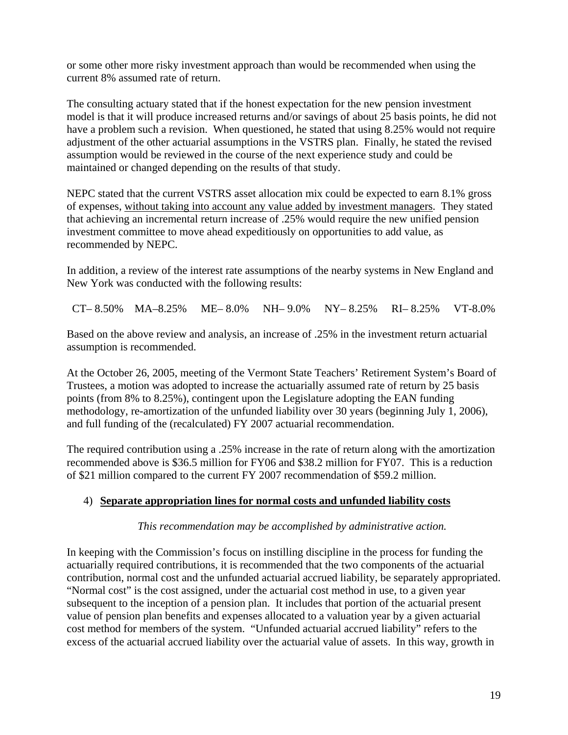or some other more risky investment approach than would be recommended when using the current 8% assumed rate of return.

The consulting actuary stated that if the honest expectation for the new pension investment model is that it will produce increased returns and/or savings of about 25 basis points, he did not have a problem such a revision. When questioned, he stated that using 8.25% would not require adjustment of the other actuarial assumptions in the VSTRS plan. Finally, he stated the revised assumption would be reviewed in the course of the next experience study and could be maintained or changed depending on the results of that study.

NEPC stated that the current VSTRS asset allocation mix could be expected to earn 8.1% gross of expenses, without taking into account any value added by investment managers. They stated that achieving an incremental return increase of .25% would require the new unified pension investment committee to move ahead expeditiously on opportunities to add value, as recommended by NEPC.

In addition, a review of the interest rate assumptions of the nearby systems in New England and New York was conducted with the following results:

CT– 8.50% MA–8.25% ME– 8.0% NH– 9.0% NY– 8.25% RI– 8.25% VT-8.0%

Based on the above review and analysis, an increase of .25% in the investment return actuarial assumption is recommended.

At the October 26, 2005, meeting of the Vermont State Teachers' Retirement System's Board of Trustees, a motion was adopted to increase the actuarially assumed rate of return by 25 basis points (from 8% to 8.25%), contingent upon the Legislature adopting the EAN funding methodology, re-amortization of the unfunded liability over 30 years (beginning July 1, 2006), and full funding of the (recalculated) FY 2007 actuarial recommendation.

The required contribution using a .25% increase in the rate of return along with the amortization recommended above is \$36.5 million for FY06 and \$38.2 million for FY07. This is a reduction of \$21 million compared to the current FY 2007 recommendation of \$59.2 million.

### 4) **Separate appropriation lines for normal costs and unfunded liability costs**

#### *This recommendation may be accomplished by administrative action.*

In keeping with the Commission's focus on instilling discipline in the process for funding the actuarially required contributions, it is recommended that the two components of the actuarial contribution, normal cost and the unfunded actuarial accrued liability, be separately appropriated. "Normal cost" is the cost assigned, under the actuarial cost method in use, to a given year subsequent to the inception of a pension plan. It includes that portion of the actuarial present value of pension plan benefits and expenses allocated to a valuation year by a given actuarial cost method for members of the system. "Unfunded actuarial accrued liability" refers to the excess of the actuarial accrued liability over the actuarial value of assets. In this way, growth in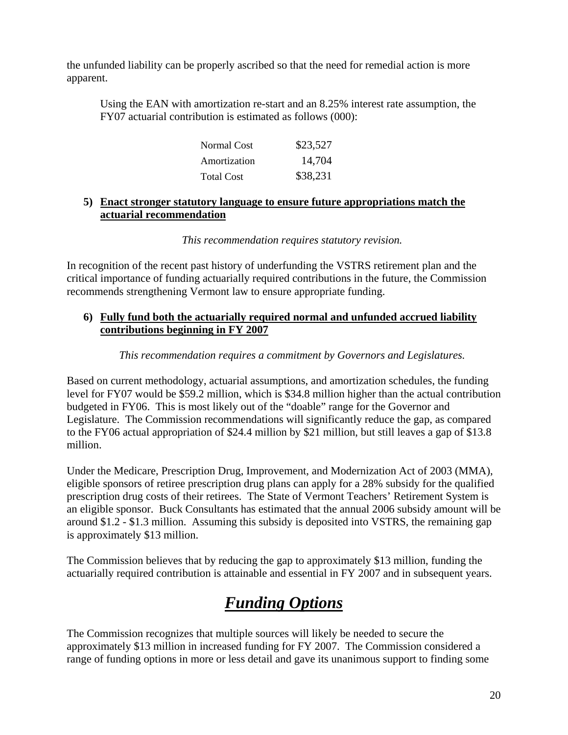the unfunded liability can be properly ascribed so that the need for remedial action is more apparent.

Using the EAN with amortization re-start and an 8.25% interest rate assumption, the FY07 actuarial contribution is estimated as follows (000):

| Normal Cost       | \$23,527 |
|-------------------|----------|
| Amortization      | 14,704   |
| <b>Total Cost</b> | \$38,231 |

#### **5) Enact stronger statutory language to ensure future appropriations match the actuarial recommendation**

*This recommendation requires statutory revision.* 

In recognition of the recent past history of underfunding the VSTRS retirement plan and the critical importance of funding actuarially required contributions in the future, the Commission recommends strengthening Vermont law to ensure appropriate funding.

#### **6) Fully fund both the actuarially required normal and unfunded accrued liability contributions beginning in FY 2007**

#### *This recommendation requires a commitment by Governors and Legislatures.*

Based on current methodology, actuarial assumptions, and amortization schedules, the funding level for FY07 would be \$59.2 million, which is \$34.8 million higher than the actual contribution budgeted in FY06. This is most likely out of the "doable" range for the Governor and Legislature. The Commission recommendations will significantly reduce the gap, as compared to the FY06 actual appropriation of \$24.4 million by \$21 million, but still leaves a gap of \$13.8 million.

Under the Medicare, Prescription Drug, Improvement, and Modernization Act of 2003 (MMA), eligible sponsors of retiree prescription drug plans can apply for a 28% subsidy for the qualified prescription drug costs of their retirees. The State of Vermont Teachers' Retirement System is an eligible sponsor. Buck Consultants has estimated that the annual 2006 subsidy amount will be around \$1.2 - \$1.3 million. Assuming this subsidy is deposited into VSTRS, the remaining gap is approximately \$13 million.

The Commission believes that by reducing the gap to approximately \$13 million, funding the actuarially required contribution is attainable and essential in FY 2007 and in subsequent years.

### *Funding Options*

The Commission recognizes that multiple sources will likely be needed to secure the approximately \$13 million in increased funding for FY 2007. The Commission considered a range of funding options in more or less detail and gave its unanimous support to finding some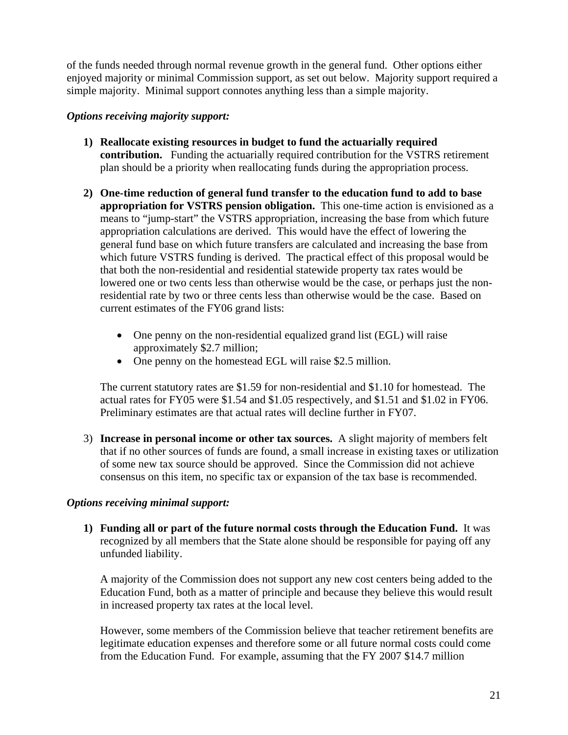of the funds needed through normal revenue growth in the general fund. Other options either enjoyed majority or minimal Commission support, as set out below. Majority support required a simple majority. Minimal support connotes anything less than a simple majority.

#### *Options receiving majority support:*

- **1) Reallocate existing resources in budget to fund the actuarially required contribution.** Funding the actuarially required contribution for the VSTRS retirement plan should be a priority when reallocating funds during the appropriation process.
- **2) One-time reduction of general fund transfer to the education fund to add to base appropriation for VSTRS pension obligation.** This one-time action is envisioned as a means to "jump-start" the VSTRS appropriation, increasing the base from which future appropriation calculations are derived. This would have the effect of lowering the general fund base on which future transfers are calculated and increasing the base from which future VSTRS funding is derived. The practical effect of this proposal would be that both the non-residential and residential statewide property tax rates would be lowered one or two cents less than otherwise would be the case, or perhaps just the nonresidential rate by two or three cents less than otherwise would be the case. Based on current estimates of the FY06 grand lists:
	- One penny on the non-residential equalized grand list (EGL) will raise approximately \$2.7 million;
	- One penny on the homestead EGL will raise \$2.5 million.

The current statutory rates are \$1.59 for non-residential and \$1.10 for homestead. The actual rates for FY05 were \$1.54 and \$1.05 respectively, and \$1.51 and \$1.02 in FY06. Preliminary estimates are that actual rates will decline further in FY07.

3) **Increase in personal income or other tax sources.** A slight majority of members felt that if no other sources of funds are found, a small increase in existing taxes or utilization of some new tax source should be approved. Since the Commission did not achieve consensus on this item, no specific tax or expansion of the tax base is recommended.

#### *Options receiving minimal support:*

**1) Funding all or part of the future normal costs through the Education Fund.** It was recognized by all members that the State alone should be responsible for paying off any unfunded liability.

A majority of the Commission does not support any new cost centers being added to the Education Fund, both as a matter of principle and because they believe this would result in increased property tax rates at the local level.

However, some members of the Commission believe that teacher retirement benefits are legitimate education expenses and therefore some or all future normal costs could come from the Education Fund. For example, assuming that the FY 2007 \$14.7 million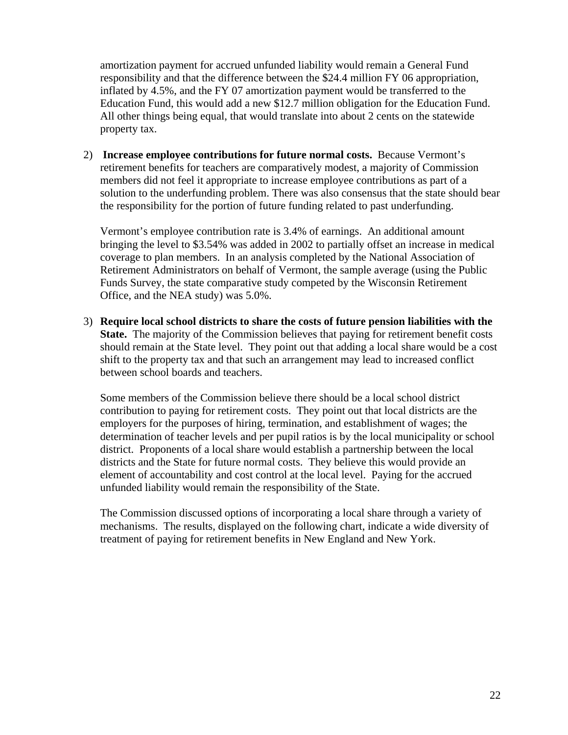amortization payment for accrued unfunded liability would remain a General Fund responsibility and that the difference between the \$24.4 million FY 06 appropriation, inflated by 4.5%, and the FY 07 amortization payment would be transferred to the Education Fund, this would add a new \$12.7 million obligation for the Education Fund. All other things being equal, that would translate into about 2 cents on the statewide property tax.

2) **Increase employee contributions for future normal costs.** Because Vermont's retirement benefits for teachers are comparatively modest, a majority of Commission members did not feel it appropriate to increase employee contributions as part of a solution to the underfunding problem. There was also consensus that the state should bear the responsibility for the portion of future funding related to past underfunding.

Vermont's employee contribution rate is 3.4% of earnings. An additional amount bringing the level to \$3.54% was added in 2002 to partially offset an increase in medical coverage to plan members. In an analysis completed by the National Association of Retirement Administrators on behalf of Vermont, the sample average (using the Public Funds Survey, the state comparative study competed by the Wisconsin Retirement Office, and the NEA study) was 5.0%.

3) **Require local school districts to share the costs of future pension liabilities with the State.** The majority of the Commission believes that paying for retirement benefit costs should remain at the State level. They point out that adding a local share would be a cost shift to the property tax and that such an arrangement may lead to increased conflict between school boards and teachers.

Some members of the Commission believe there should be a local school district contribution to paying for retirement costs. They point out that local districts are the employers for the purposes of hiring, termination, and establishment of wages; the determination of teacher levels and per pupil ratios is by the local municipality or school district. Proponents of a local share would establish a partnership between the local districts and the State for future normal costs. They believe this would provide an element of accountability and cost control at the local level. Paying for the accrued unfunded liability would remain the responsibility of the State.

The Commission discussed options of incorporating a local share through a variety of mechanisms. The results, displayed on the following chart, indicate a wide diversity of treatment of paying for retirement benefits in New England and New York.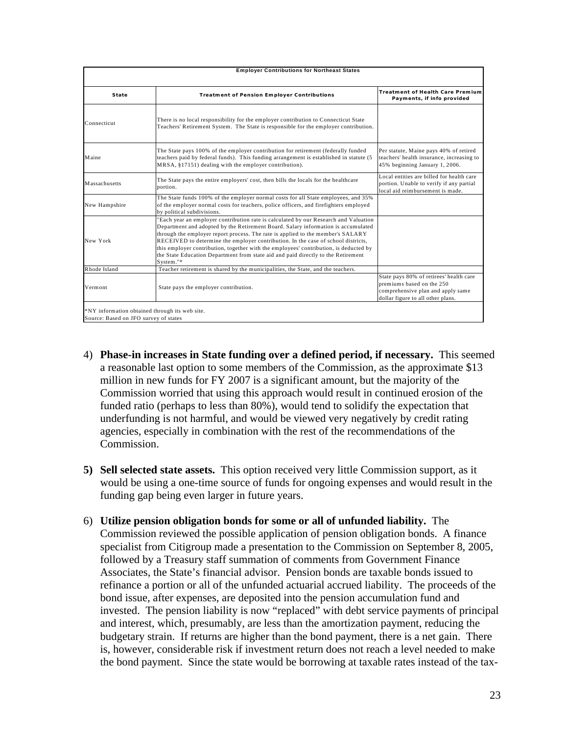| <b>Employer Contributions for Northeast States</b>                                      |                                                                                                                                                                                                                                                                                                                                                                                                                                                                                                                                              |                                                                                                                                                |  |  |  |
|-----------------------------------------------------------------------------------------|----------------------------------------------------------------------------------------------------------------------------------------------------------------------------------------------------------------------------------------------------------------------------------------------------------------------------------------------------------------------------------------------------------------------------------------------------------------------------------------------------------------------------------------------|------------------------------------------------------------------------------------------------------------------------------------------------|--|--|--|
| State                                                                                   | <b>Treatment of Pension Employer Contributions</b>                                                                                                                                                                                                                                                                                                                                                                                                                                                                                           | <b>Treatment of Health Care Premium</b><br>Payments, if info provided                                                                          |  |  |  |
| Connecticut                                                                             | There is no local responsibility for the employer contribution to Connecticut State<br>Teachers' Retirement System. The State is responsible for the employer contribution.                                                                                                                                                                                                                                                                                                                                                                  |                                                                                                                                                |  |  |  |
| Maine                                                                                   | The State pays 100% of the employer contribution for retirement (federally funded<br>teachers paid by federal funds). This funding arrangement is established in statute (5<br>MRSA, §17151) dealing with the employer contribution).                                                                                                                                                                                                                                                                                                        | Per statute, Maine pays 40% of retired<br>teachers' health insurance, increasing to<br>45% beginning January 1, 2006.                          |  |  |  |
| Massachusetts                                                                           | The State pays the entire employers' cost, then bills the locals for the healthcare<br>portion.                                                                                                                                                                                                                                                                                                                                                                                                                                              | Local entities are billed for health care<br>portion. Unable to verify if any partial<br>local aid reimbursement is made.                      |  |  |  |
| New Hampshire                                                                           | The State funds 100% of the employer normal costs for all State employees, and 35%<br>of the employer normal costs for teachers, police officers, and firefighters employed<br>by political subdivisions.                                                                                                                                                                                                                                                                                                                                    |                                                                                                                                                |  |  |  |
| New York                                                                                | "Each year an employer contribution rate is calculated by our Research and Valuation<br>Department and adopted by the Retirement Board. Salary information is accumulated<br>through the employer report process. The rate is applied to the member's SALARY<br>RECEIVED to determine the employer contribution. In the case of school districts,<br>this employer contribution, together with the employees' contribution, is deducted by<br>the State Education Department from state aid and paid directly to the Retirement<br>System."* |                                                                                                                                                |  |  |  |
| Rhode Island                                                                            | Teacher retirement is shared by the municipalities, the State, and the teachers.                                                                                                                                                                                                                                                                                                                                                                                                                                                             |                                                                                                                                                |  |  |  |
| Vermont                                                                                 | State pays the employer contribution.                                                                                                                                                                                                                                                                                                                                                                                                                                                                                                        | State pays 80% of retirees' health care<br>premiums based on the 250<br>comprehensive plan and apply same<br>dollar figure to all other plans. |  |  |  |
| *NY information obtained through its web site.<br>Source: Based on JFO survey of states |                                                                                                                                                                                                                                                                                                                                                                                                                                                                                                                                              |                                                                                                                                                |  |  |  |

- 4) **Phase-in increases in State funding over a defined period, if necessary.** This seemed a reasonable last option to some members of the Commission, as the approximate \$13 million in new funds for FY 2007 is a significant amount, but the majority of the Commission worried that using this approach would result in continued erosion of the funded ratio (perhaps to less than 80%), would tend to solidify the expectation that underfunding is not harmful, and would be viewed very negatively by credit rating agencies, especially in combination with the rest of the recommendations of the Commission.
- **5) Sell selected state assets.** This option received very little Commission support, as it would be using a one-time source of funds for ongoing expenses and would result in the funding gap being even larger in future years.
- 6) **Utilize pension obligation bonds for some or all of unfunded liability.** The Commission reviewed the possible application of pension obligation bonds. A finance specialist from Citigroup made a presentation to the Commission on September 8, 2005, followed by a Treasury staff summation of comments from Government Finance Associates, the State's financial advisor. Pension bonds are taxable bonds issued to refinance a portion or all of the unfunded actuarial accrued liability. The proceeds of the bond issue, after expenses, are deposited into the pension accumulation fund and invested. The pension liability is now "replaced" with debt service payments of principal and interest, which, presumably, are less than the amortization payment, reducing the budgetary strain. If returns are higher than the bond payment, there is a net gain. There is, however, considerable risk if investment return does not reach a level needed to make the bond payment. Since the state would be borrowing at taxable rates instead of the tax-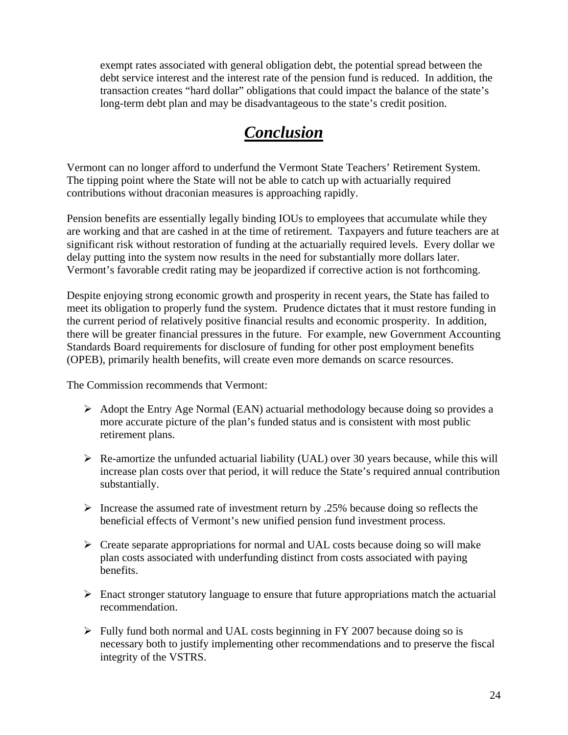exempt rates associated with general obligation debt, the potential spread between the debt service interest and the interest rate of the pension fund is reduced. In addition, the transaction creates "hard dollar" obligations that could impact the balance of the state's long-term debt plan and may be disadvantageous to the state's credit position.

## *Conclusion*

Vermont can no longer afford to underfund the Vermont State Teachers' Retirement System. The tipping point where the State will not be able to catch up with actuarially required contributions without draconian measures is approaching rapidly.

Pension benefits are essentially legally binding IOUs to employees that accumulate while they are working and that are cashed in at the time of retirement. Taxpayers and future teachers are at significant risk without restoration of funding at the actuarially required levels. Every dollar we delay putting into the system now results in the need for substantially more dollars later. Vermont's favorable credit rating may be jeopardized if corrective action is not forthcoming.

Despite enjoying strong economic growth and prosperity in recent years, the State has failed to meet its obligation to properly fund the system. Prudence dictates that it must restore funding in the current period of relatively positive financial results and economic prosperity. In addition, there will be greater financial pressures in the future. For example, new Government Accounting Standards Board requirements for disclosure of funding for other post employment benefits (OPEB), primarily health benefits, will create even more demands on scarce resources.

The Commission recommends that Vermont:

- $\triangleright$  Adopt the Entry Age Normal (EAN) actuarial methodology because doing so provides a more accurate picture of the plan's funded status and is consistent with most public retirement plans.
- $\triangleright$  Re-amortize the unfunded actuarial liability (UAL) over 30 years because, while this will increase plan costs over that period, it will reduce the State's required annual contribution substantially.
- $\triangleright$  Increase the assumed rate of investment return by .25% because doing so reflects the beneficial effects of Vermont's new unified pension fund investment process.
- $\triangleright$  Create separate appropriations for normal and UAL costs because doing so will make plan costs associated with underfunding distinct from costs associated with paying benefits.
- $\triangleright$  Enact stronger statutory language to ensure that future appropriations match the actuarial recommendation.
- $\triangleright$  Fully fund both normal and UAL costs beginning in FY 2007 because doing so is necessary both to justify implementing other recommendations and to preserve the fiscal integrity of the VSTRS.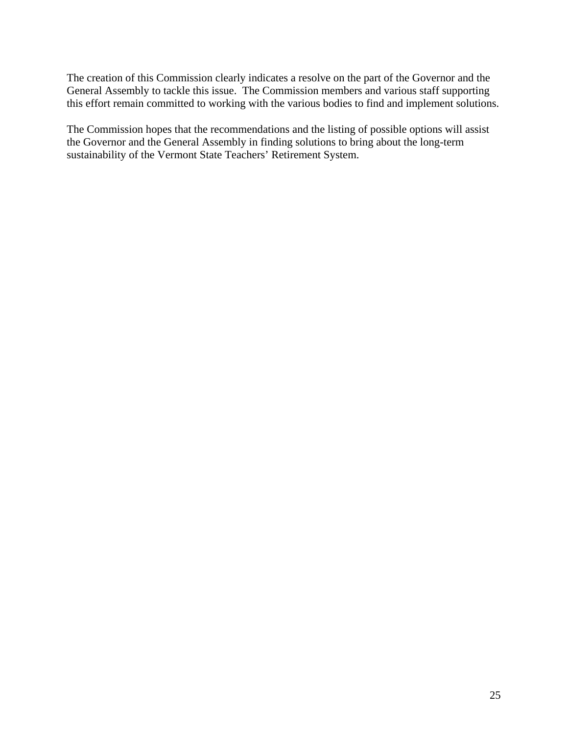The creation of this Commission clearly indicates a resolve on the part of the Governor and the General Assembly to tackle this issue. The Commission members and various staff supporting this effort remain committed to working with the various bodies to find and implement solutions.

The Commission hopes that the recommendations and the listing of possible options will assist the Governor and the General Assembly in finding solutions to bring about the long-term sustainability of the Vermont State Teachers' Retirement System.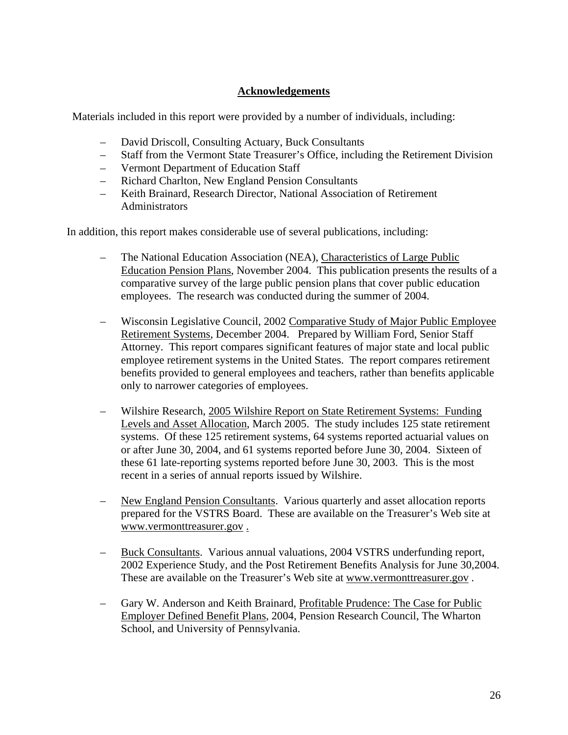#### **Acknowledgements**

Materials included in this report were provided by a number of individuals, including:

- David Driscoll, Consulting Actuary, Buck Consultants
- Staff from the Vermont State Treasurer's Office, including the Retirement Division
- Vermont Department of Education Staff
- Richard Charlton, New England Pension Consultants
- Keith Brainard, Research Director, National Association of Retirement Administrators

In addition, this report makes considerable use of several publications, including:

- The National Education Association (NEA), Characteristics of Large Public Education Pension Plans, November 2004. This publication presents the results of a comparative survey of the large public pension plans that cover public education employees. The research was conducted during the summer of 2004.
- Wisconsin Legislative Council, 2002 Comparative Study of Major Public Employee Retirement Systems, December 2004. Prepared by William Ford, Senior Staff Attorney. This report compares significant features of major state and local public employee retirement systems in the United States. The report compares retirement benefits provided to general employees and teachers, rather than benefits applicable only to narrower categories of employees.
- Wilshire Research, 2005 Wilshire Report on State Retirement Systems: Funding Levels and Asset Allocation, March 2005. The study includes 125 state retirement systems. Of these 125 retirement systems, 64 systems reported actuarial values on or after June 30, 2004, and 61 systems reported before June 30, 2004. Sixteen of these 61 late-reporting systems reported before June 30, 2003. This is the most recent in a series of annual reports issued by Wilshire.
- New England Pension Consultants. Various quarterly and asset allocation reports prepared for the VSTRS Board. These are available on the Treasurer's Web site at www.vermonttreasurer.gov .
- Buck Consultants. Various annual valuations, 2004 VSTRS underfunding report, 2002 Experience Study, and the Post Retirement Benefits Analysis for June 30,2004. These are available on the Treasurer's Web site at www.vermonttreasurer.gov .
- Gary W. Anderson and Keith Brainard, Profitable Prudence: The Case for Public Employer Defined Benefit Plans, 2004, Pension Research Council, The Wharton School, and University of Pennsylvania.